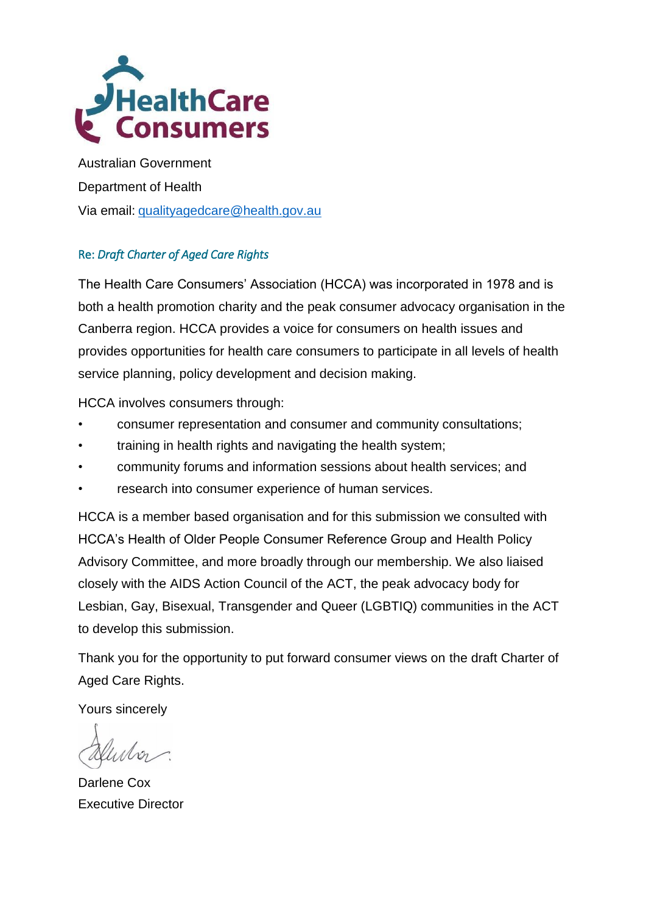

Australian Government Department of Health Via email: [qualityagedcare@health.gov.au](mailto:qualityagedcare@health.gov.au)

#### Re: *Draft Charter of Aged Care Rights*

The Health Care Consumers' Association (HCCA) was incorporated in 1978 and is both a health promotion charity and the peak consumer advocacy organisation in the Canberra region. HCCA provides a voice for consumers on health issues and provides opportunities for health care consumers to participate in all levels of health service planning, policy development and decision making.

HCCA involves consumers through:

- consumer representation and consumer and community consultations;
- training in health rights and navigating the health system;
- community forums and information sessions about health services; and
- research into consumer experience of human services.

HCCA is a member based organisation and for this submission we consulted with HCCA's Health of Older People Consumer Reference Group and Health Policy Advisory Committee, and more broadly through our membership. We also liaised closely with the AIDS Action Council of the ACT, the peak advocacy body for Lesbian, Gay, Bisexual, Transgender and Queer (LGBTIQ) communities in the ACT to develop this submission.

Thank you for the opportunity to put forward consumer views on the draft Charter of Aged Care Rights.

Yours sincerely

Darlene Cox Executive Director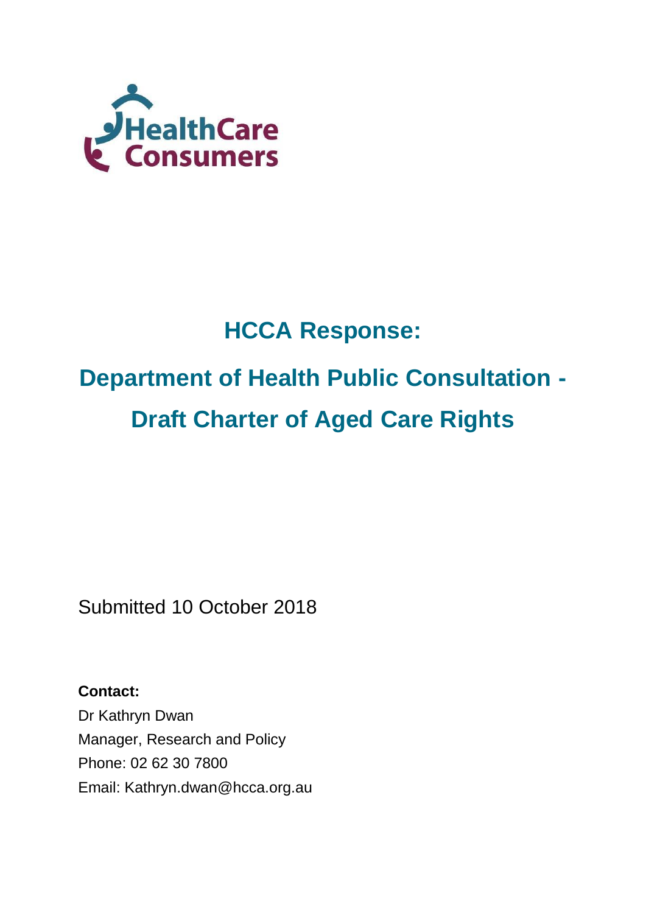

## **HCCA Response:**

# **Department of Health Public Consultation - Draft Charter of Aged Care Rights**

Submitted 10 October 2018

**Contact:**  Dr Kathryn Dwan Manager, Research and Policy Phone: 02 62 30 7800 Email: Kathryn.dwan@hcca.org.au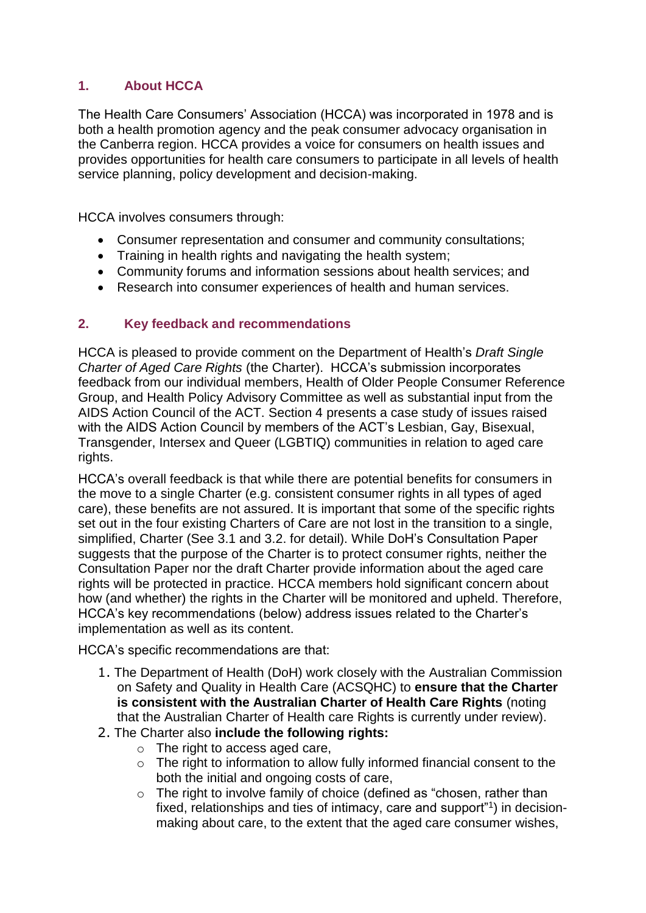#### **1. About HCCA**

The Health Care Consumers' Association (HCCA) was incorporated in 1978 and is both a health promotion agency and the peak consumer advocacy organisation in the Canberra region. HCCA provides a voice for consumers on health issues and provides opportunities for health care consumers to participate in all levels of health service planning, policy development and decision-making.

HCCA involves consumers through:

- Consumer representation and consumer and community consultations;
- Training in health rights and navigating the health system;
- Community forums and information sessions about health services; and
- Research into consumer experiences of health and human services.

#### **2. Key feedback and recommendations**

HCCA is pleased to provide comment on the Department of Health's *Draft Single Charter of Aged Care Rights* (the Charter). HCCA's submission incorporates feedback from our individual members, Health of Older People Consumer Reference Group, and Health Policy Advisory Committee as well as substantial input from the AIDS Action Council of the ACT. Section 4 presents a case study of issues raised with the AIDS Action Council by members of the ACT's Lesbian, Gay, Bisexual, Transgender, Intersex and Queer (LGBTIQ) communities in relation to aged care rights.

HCCA's overall feedback is that while there are potential benefits for consumers in the move to a single Charter (e.g. consistent consumer rights in all types of aged care), these benefits are not assured. It is important that some of the specific rights set out in the four existing Charters of Care are not lost in the transition to a single, simplified, Charter (See 3.1 and 3.2. for detail). While DoH's Consultation Paper suggests that the purpose of the Charter is to protect consumer rights, neither the Consultation Paper nor the draft Charter provide information about the aged care rights will be protected in practice. HCCA members hold significant concern about how (and whether) the rights in the Charter will be monitored and upheld. Therefore, HCCA's key recommendations (below) address issues related to the Charter's implementation as well as its content.

HCCA's specific recommendations are that:

- 1. The Department of Health (DoH) work closely with the Australian Commission on Safety and Quality in Health Care (ACSQHC) to **ensure that the Charter is consistent with the Australian Charter of Health Care Rights** (noting that the Australian Charter of Health care Rights is currently under review).
- 2. The Charter also **include the following rights:** 
	- o The right to access aged care,
	- $\circ$  The right to information to allow fully informed financial consent to the both the initial and ongoing costs of care,
	- o The right to involve family of choice (defined as "chosen, rather than fixed, relationships and ties of intimacy, care and support<sup>"1</sup>) in decisionmaking about care, to the extent that the aged care consumer wishes,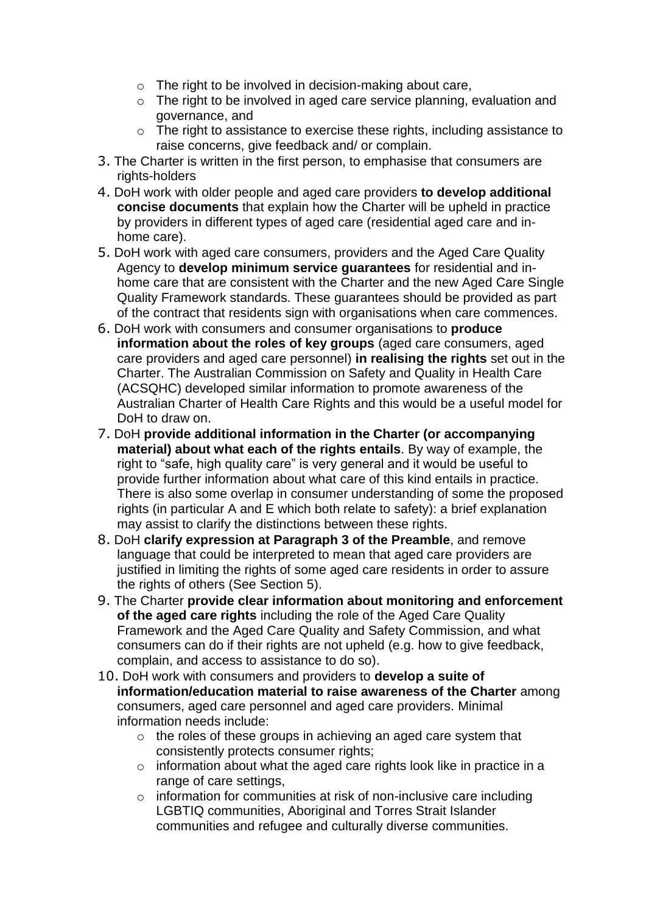- o The right to be involved in decision-making about care,
- o The right to be involved in aged care service planning, evaluation and governance, and
- o The right to assistance to exercise these rights, including assistance to raise concerns, give feedback and/ or complain.
- 3. The Charter is written in the first person, to emphasise that consumers are rights-holders
- 4. DoH work with older people and aged care providers **to develop additional concise documents** that explain how the Charter will be upheld in practice by providers in different types of aged care (residential aged care and inhome care).
- 5. DoH work with aged care consumers, providers and the Aged Care Quality Agency to **develop minimum service guarantees** for residential and inhome care that are consistent with the Charter and the new Aged Care Single Quality Framework standards. These guarantees should be provided as part of the contract that residents sign with organisations when care commences.
- 6. DoH work with consumers and consumer organisations to **produce information about the roles of key groups** (aged care consumers, aged care providers and aged care personnel) **in realising the rights** set out in the Charter. The Australian Commission on Safety and Quality in Health Care (ACSQHC) developed similar information to promote awareness of the Australian Charter of Health Care Rights and this would be a useful model for DoH to draw on.
- 7. DoH **provide additional information in the Charter (or accompanying material) about what each of the rights entails**. By way of example, the right to "safe, high quality care" is very general and it would be useful to provide further information about what care of this kind entails in practice. There is also some overlap in consumer understanding of some the proposed rights (in particular A and E which both relate to safety): a brief explanation may assist to clarify the distinctions between these rights.
- 8. DoH **clarify expression at Paragraph 3 of the Preamble**, and remove language that could be interpreted to mean that aged care providers are justified in limiting the rights of some aged care residents in order to assure the rights of others (See Section 5).
- 9. The Charter **provide clear information about monitoring and enforcement of the aged care rights** including the role of the Aged Care Quality Framework and the Aged Care Quality and Safety Commission, and what consumers can do if their rights are not upheld (e.g. how to give feedback, complain, and access to assistance to do so).
- 10. DoH work with consumers and providers to **develop a suite of information/education material to raise awareness of the Charter** among consumers, aged care personnel and aged care providers. Minimal information needs include:
	- o the roles of these groups in achieving an aged care system that consistently protects consumer rights;
	- o information about what the aged care rights look like in practice in a range of care settings,
	- o information for communities at risk of non-inclusive care including LGBTIQ communities, Aboriginal and Torres Strait Islander communities and refugee and culturally diverse communities.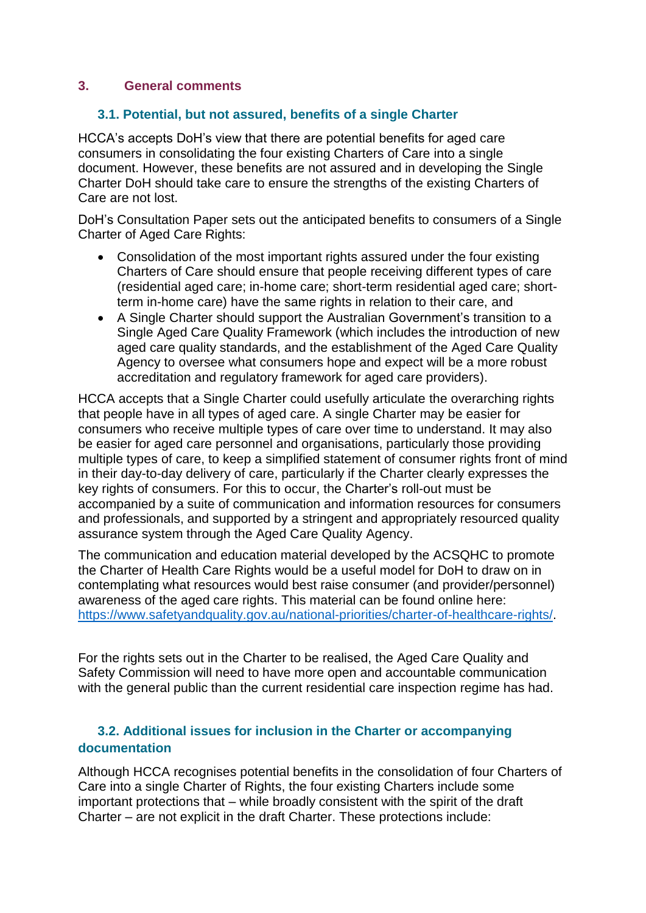#### **3. General comments**

#### **3.1. Potential, but not assured, benefits of a single Charter**

HCCA's accepts DoH's view that there are potential benefits for aged care consumers in consolidating the four existing Charters of Care into a single document. However, these benefits are not assured and in developing the Single Charter DoH should take care to ensure the strengths of the existing Charters of Care are not lost.

DoH's Consultation Paper sets out the anticipated benefits to consumers of a Single Charter of Aged Care Rights:

- Consolidation of the most important rights assured under the four existing Charters of Care should ensure that people receiving different types of care (residential aged care; in-home care; short-term residential aged care; shortterm in-home care) have the same rights in relation to their care, and
- A Single Charter should support the Australian Government's transition to a Single Aged Care Quality Framework (which includes the introduction of new aged care quality standards, and the establishment of the Aged Care Quality Agency to oversee what consumers hope and expect will be a more robust accreditation and regulatory framework for aged care providers).

HCCA accepts that a Single Charter could usefully articulate the overarching rights that people have in all types of aged care. A single Charter may be easier for consumers who receive multiple types of care over time to understand. It may also be easier for aged care personnel and organisations, particularly those providing multiple types of care, to keep a simplified statement of consumer rights front of mind in their day-to-day delivery of care, particularly if the Charter clearly expresses the key rights of consumers. For this to occur, the Charter's roll-out must be accompanied by a suite of communication and information resources for consumers and professionals, and supported by a stringent and appropriately resourced quality assurance system through the Aged Care Quality Agency.

The communication and education material developed by the ACSQHC to promote the Charter of Health Care Rights would be a useful model for DoH to draw on in contemplating what resources would best raise consumer (and provider/personnel) awareness of the aged care rights. This material can be found online here: [https://www.safetyandquality.gov.au/national-priorities/charter-of-healthcare-rights/.](https://www.safetyandquality.gov.au/national-priorities/charter-of-healthcare-rights/)

For the rights sets out in the Charter to be realised, the Aged Care Quality and Safety Commission will need to have more open and accountable communication with the general public than the current residential care inspection regime has had.

#### **3.2. Additional issues for inclusion in the Charter or accompanying documentation**

Although HCCA recognises potential benefits in the consolidation of four Charters of Care into a single Charter of Rights, the four existing Charters include some important protections that – while broadly consistent with the spirit of the draft Charter – are not explicit in the draft Charter. These protections include: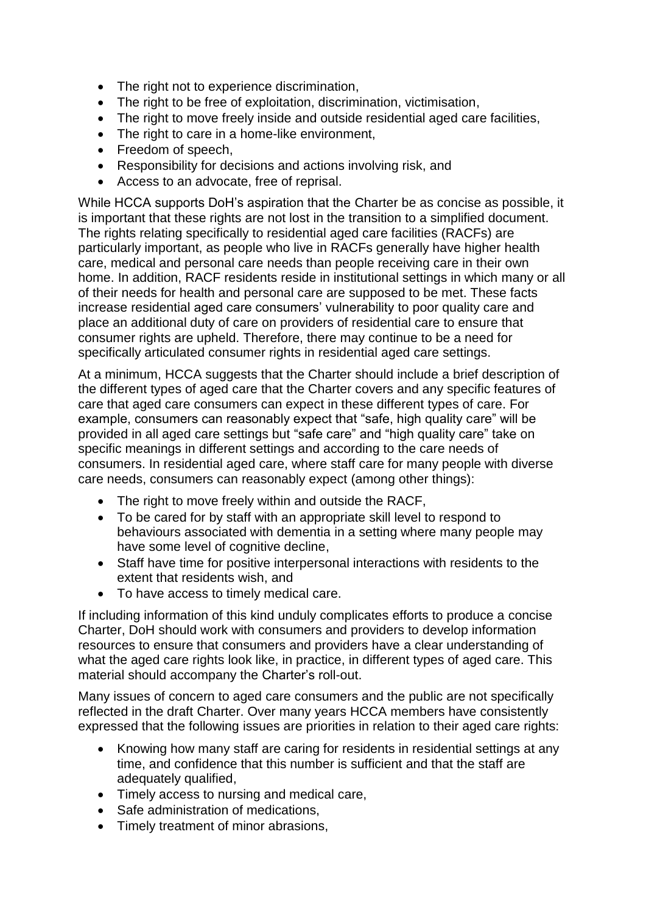- The right not to experience discrimination,
- The right to be free of exploitation, discrimination, victimisation,
- The right to move freely inside and outside residential aged care facilities,
- The right to care in a home-like environment,
- Freedom of speech,
- Responsibility for decisions and actions involving risk, and
- Access to an advocate, free of reprisal.

While HCCA supports DoH's aspiration that the Charter be as concise as possible, it is important that these rights are not lost in the transition to a simplified document. The rights relating specifically to residential aged care facilities (RACFs) are particularly important, as people who live in RACFs generally have higher health care, medical and personal care needs than people receiving care in their own home. In addition, RACF residents reside in institutional settings in which many or all of their needs for health and personal care are supposed to be met. These facts increase residential aged care consumers' vulnerability to poor quality care and place an additional duty of care on providers of residential care to ensure that consumer rights are upheld. Therefore, there may continue to be a need for specifically articulated consumer rights in residential aged care settings.

At a minimum, HCCA suggests that the Charter should include a brief description of the different types of aged care that the Charter covers and any specific features of care that aged care consumers can expect in these different types of care. For example, consumers can reasonably expect that "safe, high quality care" will be provided in all aged care settings but "safe care" and "high quality care" take on specific meanings in different settings and according to the care needs of consumers. In residential aged care, where staff care for many people with diverse care needs, consumers can reasonably expect (among other things):

- The right to move freely within and outside the RACF,
- To be cared for by staff with an appropriate skill level to respond to behaviours associated with dementia in a setting where many people may have some level of cognitive decline.
- Staff have time for positive interpersonal interactions with residents to the extent that residents wish, and
- To have access to timely medical care.

If including information of this kind unduly complicates efforts to produce a concise Charter, DoH should work with consumers and providers to develop information resources to ensure that consumers and providers have a clear understanding of what the aged care rights look like, in practice, in different types of aged care. This material should accompany the Charter's roll-out.

Many issues of concern to aged care consumers and the public are not specifically reflected in the draft Charter. Over many years HCCA members have consistently expressed that the following issues are priorities in relation to their aged care rights:

- Knowing how many staff are caring for residents in residential settings at any time, and confidence that this number is sufficient and that the staff are adequately qualified,
- Timely access to nursing and medical care,
- Safe administration of medications,
- Timely treatment of minor abrasions,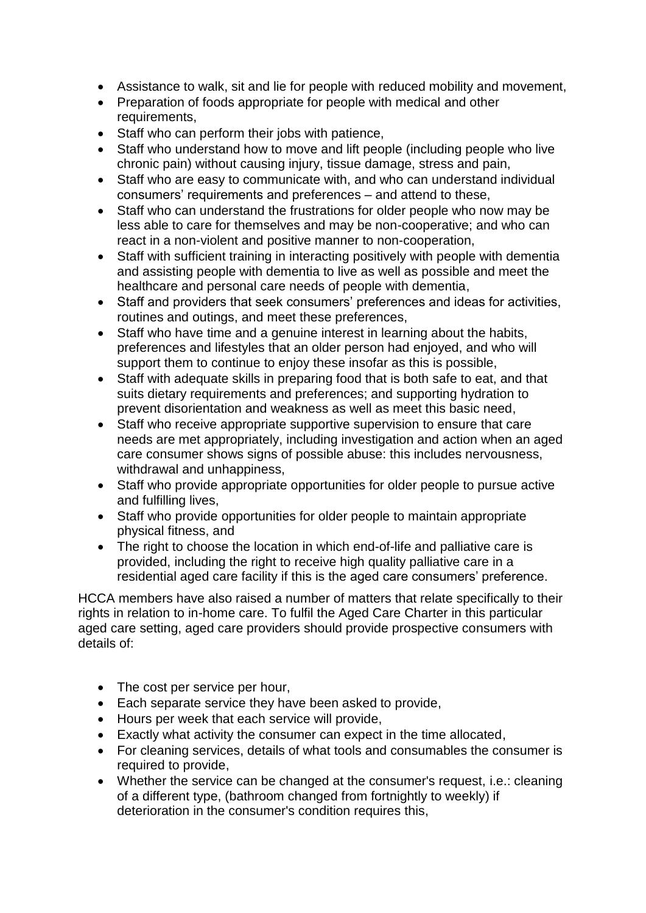- Assistance to walk, sit and lie for people with reduced mobility and movement,
- Preparation of foods appropriate for people with medical and other requirements,
- Staff who can perform their jobs with patience,
- Staff who understand how to move and lift people (including people who live chronic pain) without causing injury, tissue damage, stress and pain,
- Staff who are easy to communicate with, and who can understand individual consumers' requirements and preferences – and attend to these,
- Staff who can understand the frustrations for older people who now may be less able to care for themselves and may be non-cooperative; and who can react in a non-violent and positive manner to non-cooperation,
- Staff with sufficient training in interacting positively with people with dementia and assisting people with dementia to live as well as possible and meet the healthcare and personal care needs of people with dementia,
- Staff and providers that seek consumers' preferences and ideas for activities, routines and outings, and meet these preferences,
- Staff who have time and a genuine interest in learning about the habits, preferences and lifestyles that an older person had enjoyed, and who will support them to continue to enjoy these insofar as this is possible,
- Staff with adequate skills in preparing food that is both safe to eat, and that suits dietary requirements and preferences; and supporting hydration to prevent disorientation and weakness as well as meet this basic need,
- Staff who receive appropriate supportive supervision to ensure that care needs are met appropriately, including investigation and action when an aged care consumer shows signs of possible abuse: this includes nervousness, withdrawal and unhappiness,
- Staff who provide appropriate opportunities for older people to pursue active and fulfilling lives,
- Staff who provide opportunities for older people to maintain appropriate physical fitness, and
- The right to choose the location in which end-of-life and palliative care is provided, including the right to receive high quality palliative care in a residential aged care facility if this is the aged care consumers' preference.

HCCA members have also raised a number of matters that relate specifically to their rights in relation to in-home care. To fulfil the Aged Care Charter in this particular aged care setting, aged care providers should provide prospective consumers with details of:

- The cost per service per hour,
- Each separate service they have been asked to provide,
- Hours per week that each service will provide.
- Exactly what activity the consumer can expect in the time allocated,
- For cleaning services, details of what tools and consumables the consumer is required to provide,
- Whether the service can be changed at the consumer's request, i.e.: cleaning of a different type, (bathroom changed from fortnightly to weekly) if deterioration in the consumer's condition requires this,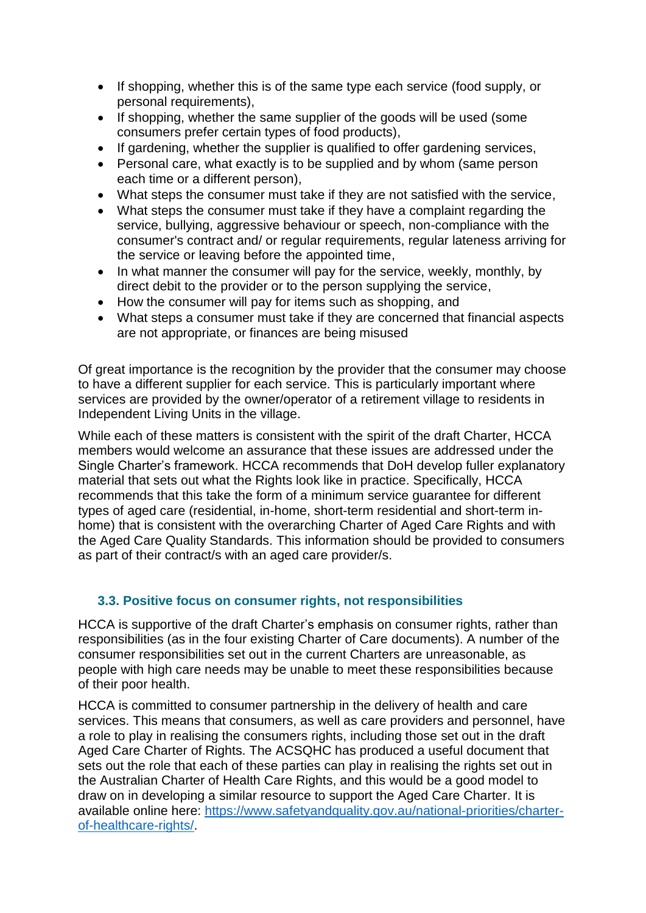- If shopping, whether this is of the same type each service (food supply, or personal requirements),
- If shopping, whether the same supplier of the goods will be used (some consumers prefer certain types of food products),
- If gardening, whether the supplier is qualified to offer gardening services,
- Personal care, what exactly is to be supplied and by whom (same person each time or a different person),
- What steps the consumer must take if they are not satisfied with the service,
- What steps the consumer must take if they have a complaint regarding the service, bullying, aggressive behaviour or speech, non-compliance with the consumer's contract and/ or regular requirements, regular lateness arriving for the service or leaving before the appointed time,
- In what manner the consumer will pay for the service, weekly, monthly, by direct debit to the provider or to the person supplying the service,
- How the consumer will pay for items such as shopping, and
- What steps a consumer must take if they are concerned that financial aspects are not appropriate, or finances are being misused

Of great importance is the recognition by the provider that the consumer may choose to have a different supplier for each service. This is particularly important where services are provided by the owner/operator of a retirement village to residents in Independent Living Units in the village.

While each of these matters is consistent with the spirit of the draft Charter, HCCA members would welcome an assurance that these issues are addressed under the Single Charter's framework. HCCA recommends that DoH develop fuller explanatory material that sets out what the Rights look like in practice. Specifically, HCCA recommends that this take the form of a minimum service guarantee for different types of aged care (residential, in-home, short-term residential and short-term inhome) that is consistent with the overarching Charter of Aged Care Rights and with the Aged Care Quality Standards. This information should be provided to consumers as part of their contract/s with an aged care provider/s.

#### **3.3. Positive focus on consumer rights, not responsibilities**

HCCA is supportive of the draft Charter's emphasis on consumer rights, rather than responsibilities (as in the four existing Charter of Care documents). A number of the consumer responsibilities set out in the current Charters are unreasonable, as people with high care needs may be unable to meet these responsibilities because of their poor health.

HCCA is committed to consumer partnership in the delivery of health and care services. This means that consumers, as well as care providers and personnel, have a role to play in realising the consumers rights, including those set out in the draft Aged Care Charter of Rights. The ACSQHC has produced a useful document that sets out the role that each of these parties can play in realising the rights set out in the Australian Charter of Health Care Rights, and this would be a good model to draw on in developing a similar resource to support the Aged Care Charter. It is available online here: [https://www.safetyandquality.gov.au/national-priorities/charter](https://www.safetyandquality.gov.au/national-priorities/charter-of-healthcare-rights/)[of-healthcare-rights/.](https://www.safetyandquality.gov.au/national-priorities/charter-of-healthcare-rights/)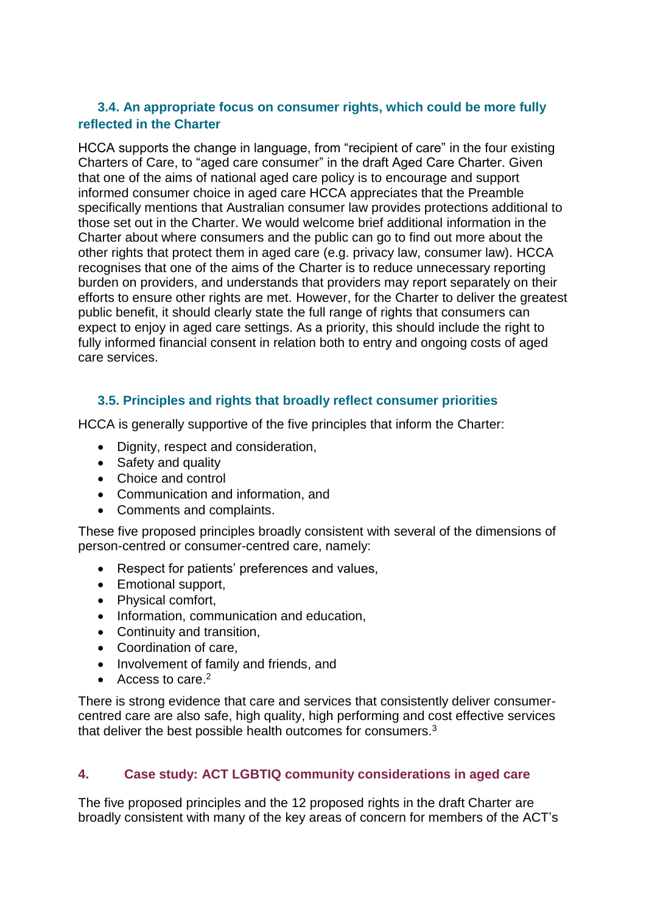#### **3.4. An appropriate focus on consumer rights, which could be more fully reflected in the Charter**

HCCA supports the change in language, from "recipient of care" in the four existing Charters of Care, to "aged care consumer" in the draft Aged Care Charter. Given that one of the aims of national aged care policy is to encourage and support informed consumer choice in aged care HCCA appreciates that the Preamble specifically mentions that Australian consumer law provides protections additional to those set out in the Charter. We would welcome brief additional information in the Charter about where consumers and the public can go to find out more about the other rights that protect them in aged care (e.g. privacy law, consumer law). HCCA recognises that one of the aims of the Charter is to reduce unnecessary reporting burden on providers, and understands that providers may report separately on their efforts to ensure other rights are met. However, for the Charter to deliver the greatest public benefit, it should clearly state the full range of rights that consumers can expect to enjoy in aged care settings. As a priority, this should include the right to fully informed financial consent in relation both to entry and ongoing costs of aged care services.

#### **3.5. Principles and rights that broadly reflect consumer priorities**

HCCA is generally supportive of the five principles that inform the Charter:

- Dignity, respect and consideration,
- Safety and quality
- Choice and control
- Communication and information, and
- Comments and complaints.

These five proposed principles broadly consistent with several of the dimensions of person-centred or consumer-centred care, namely:

- Respect for patients' preferences and values,
- Emotional support,
- Physical comfort,
- Information, communication and education,
- Continuity and transition,
- Coordination of care,
- Involvement of family and friends, and
- $\bullet$  Access to care  $^2$

There is strong evidence that care and services that consistently deliver consumercentred care are also safe, high quality, high performing and cost effective services that deliver the best possible health outcomes for consumers.<sup>3</sup>

#### **4. Case study: ACT LGBTIQ community considerations in aged care**

The five proposed principles and the 12 proposed rights in the draft Charter are broadly consistent with many of the key areas of concern for members of the ACT's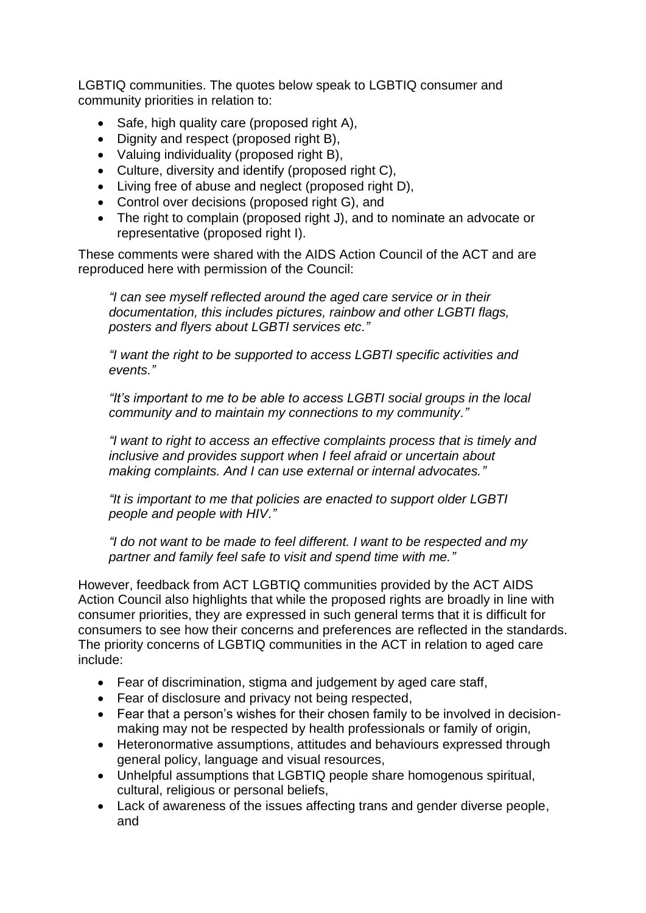LGBTIQ communities. The quotes below speak to LGBTIQ consumer and community priorities in relation to:

- $\bullet$  Safe, high quality care (proposed right A),
- Dignity and respect (proposed right B),
- Valuing individuality (proposed right B),
- Culture, diversity and identify (proposed right C),
- Living free of abuse and neglect (proposed right D),
- Control over decisions (proposed right G), and
- The right to complain (proposed right J), and to nominate an advocate or representative (proposed right I).

These comments were shared with the AIDS Action Council of the ACT and are reproduced here with permission of the Council:

*"I can see myself reflected around the aged care service or in their documentation, this includes pictures, rainbow and other LGBTI flags, posters and flyers about LGBTI services etc."*

*"I want the right to be supported to access LGBTI specific activities and events."*

*"It's important to me to be able to access LGBTI social groups in the local community and to maintain my connections to my community."*

*"I want to right to access an effective complaints process that is timely and inclusive and provides support when I feel afraid or uncertain about making complaints. And I can use external or internal advocates."*

*"It is important to me that policies are enacted to support older LGBTI people and people with HIV."*

*"I do not want to be made to feel different. I want to be respected and my partner and family feel safe to visit and spend time with me."*

However, feedback from ACT LGBTIQ communities provided by the ACT AIDS Action Council also highlights that while the proposed rights are broadly in line with consumer priorities, they are expressed in such general terms that it is difficult for consumers to see how their concerns and preferences are reflected in the standards. The priority concerns of LGBTIQ communities in the ACT in relation to aged care include:

- Fear of discrimination, stigma and judgement by aged care staff,
- Fear of disclosure and privacy not being respected,
- Fear that a person's wishes for their chosen family to be involved in decisionmaking may not be respected by health professionals or family of origin,
- Heteronormative assumptions, attitudes and behaviours expressed through general policy, language and visual resources,
- Unhelpful assumptions that LGBTIQ people share homogenous spiritual, cultural, religious or personal beliefs,
- Lack of awareness of the issues affecting trans and gender diverse people, and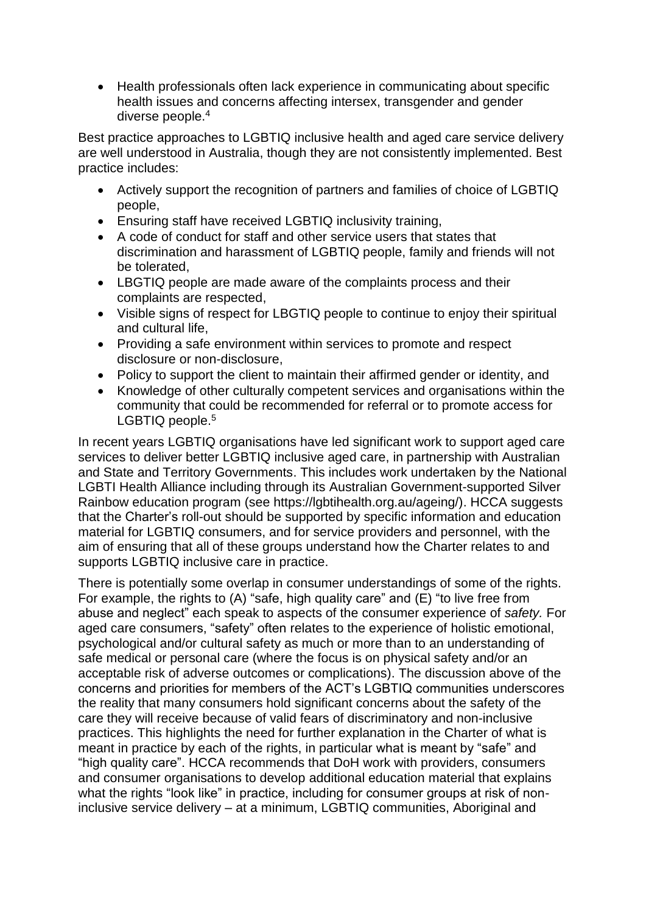• Health professionals often lack experience in communicating about specific health issues and concerns affecting intersex, transgender and gender diverse people.<sup>4</sup>

Best practice approaches to LGBTIQ inclusive health and aged care service delivery are well understood in Australia, though they are not consistently implemented. Best practice includes:

- Actively support the recognition of partners and families of choice of LGBTIQ people,
- Ensuring staff have received LGBTIQ inclusivity training,
- A code of conduct for staff and other service users that states that discrimination and harassment of LGBTIQ people, family and friends will not be tolerated,
- LBGTIQ people are made aware of the complaints process and their complaints are respected,
- Visible signs of respect for LBGTIQ people to continue to enjoy their spiritual and cultural life,
- Providing a safe environment within services to promote and respect disclosure or non-disclosure,
- Policy to support the client to maintain their affirmed gender or identity, and
- Knowledge of other culturally competent services and organisations within the community that could be recommended for referral or to promote access for LGBTIQ people.<sup>5</sup>

In recent years LGBTIQ organisations have led significant work to support aged care services to deliver better LGBTIQ inclusive aged care, in partnership with Australian and State and Territory Governments. This includes work undertaken by the National LGBTI Health Alliance including through its Australian Government-supported Silver Rainbow education program (see https://lgbtihealth.org.au/ageing/). HCCA suggests that the Charter's roll-out should be supported by specific information and education material for LGBTIQ consumers, and for service providers and personnel, with the aim of ensuring that all of these groups understand how the Charter relates to and supports LGBTIQ inclusive care in practice.

There is potentially some overlap in consumer understandings of some of the rights. For example, the rights to (A) "safe, high quality care" and (E) "to live free from abuse and neglect" each speak to aspects of the consumer experience of *safety.* For aged care consumers, "safety" often relates to the experience of holistic emotional, psychological and/or cultural safety as much or more than to an understanding of safe medical or personal care (where the focus is on physical safety and/or an acceptable risk of adverse outcomes or complications). The discussion above of the concerns and priorities for members of the ACT's LGBTIQ communities underscores the reality that many consumers hold significant concerns about the safety of the care they will receive because of valid fears of discriminatory and non-inclusive practices. This highlights the need for further explanation in the Charter of what is meant in practice by each of the rights, in particular what is meant by "safe" and "high quality care". HCCA recommends that DoH work with providers, consumers and consumer organisations to develop additional education material that explains what the rights "look like" in practice, including for consumer groups at risk of noninclusive service delivery – at a minimum, LGBTIQ communities, Aboriginal and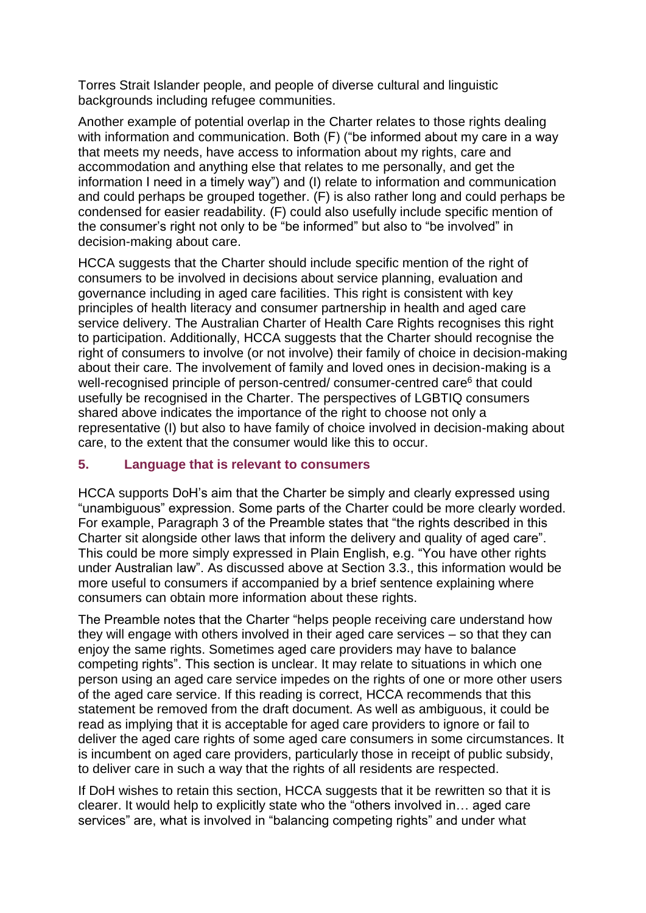Torres Strait Islander people, and people of diverse cultural and linguistic backgrounds including refugee communities.

Another example of potential overlap in the Charter relates to those rights dealing with information and communication. Both (F) ("be informed about my care in a way that meets my needs, have access to information about my rights, care and accommodation and anything else that relates to me personally, and get the information I need in a timely way") and (I) relate to information and communication and could perhaps be grouped together. (F) is also rather long and could perhaps be condensed for easier readability. (F) could also usefully include specific mention of the consumer's right not only to be "be informed" but also to "be involved" in decision-making about care.

HCCA suggests that the Charter should include specific mention of the right of consumers to be involved in decisions about service planning, evaluation and governance including in aged care facilities. This right is consistent with key principles of health literacy and consumer partnership in health and aged care service delivery. The Australian Charter of Health Care Rights recognises this right to participation. Additionally, HCCA suggests that the Charter should recognise the right of consumers to involve (or not involve) their family of choice in decision-making about their care. The involvement of family and loved ones in decision-making is a well-recognised principle of person-centred/ consumer-centred care<sup>6</sup> that could usefully be recognised in the Charter. The perspectives of LGBTIQ consumers shared above indicates the importance of the right to choose not only a representative (I) but also to have family of choice involved in decision-making about care, to the extent that the consumer would like this to occur.

#### **5. Language that is relevant to consumers**

HCCA supports DoH's aim that the Charter be simply and clearly expressed using "unambiguous" expression. Some parts of the Charter could be more clearly worded. For example, Paragraph 3 of the Preamble states that "the rights described in this Charter sit alongside other laws that inform the delivery and quality of aged care". This could be more simply expressed in Plain English, e.g. "You have other rights under Australian law". As discussed above at Section 3.3., this information would be more useful to consumers if accompanied by a brief sentence explaining where consumers can obtain more information about these rights.

The Preamble notes that the Charter "helps people receiving care understand how they will engage with others involved in their aged care services – so that they can enjoy the same rights. Sometimes aged care providers may have to balance competing rights". This section is unclear. It may relate to situations in which one person using an aged care service impedes on the rights of one or more other users of the aged care service. If this reading is correct, HCCA recommends that this statement be removed from the draft document. As well as ambiguous, it could be read as implying that it is acceptable for aged care providers to ignore or fail to deliver the aged care rights of some aged care consumers in some circumstances. It is incumbent on aged care providers, particularly those in receipt of public subsidy, to deliver care in such a way that the rights of all residents are respected.

If DoH wishes to retain this section, HCCA suggests that it be rewritten so that it is clearer. It would help to explicitly state who the "others involved in… aged care services" are, what is involved in "balancing competing rights" and under what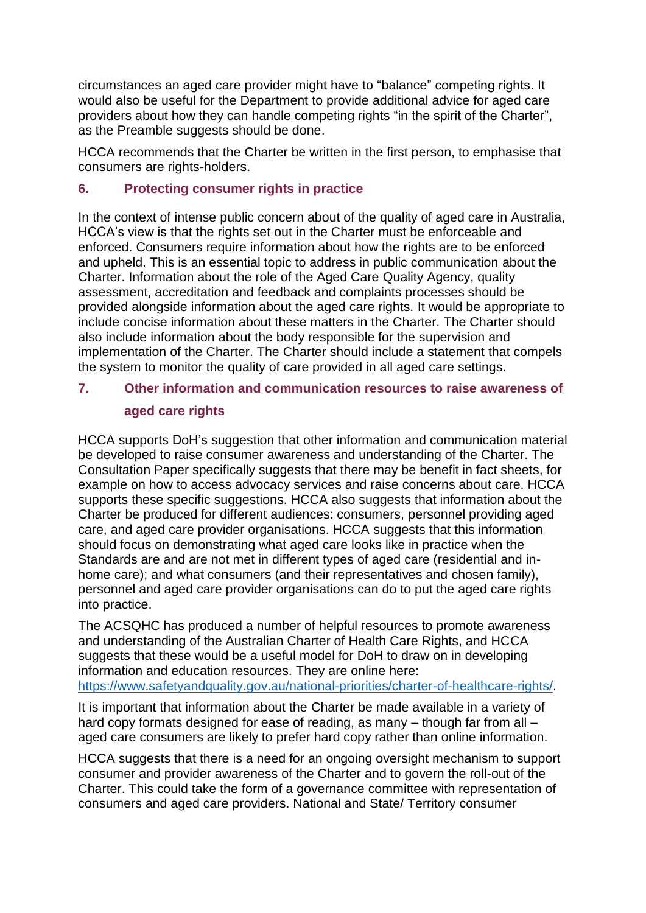circumstances an aged care provider might have to "balance" competing rights. It would also be useful for the Department to provide additional advice for aged care providers about how they can handle competing rights "in the spirit of the Charter", as the Preamble suggests should be done.

HCCA recommends that the Charter be written in the first person, to emphasise that consumers are rights-holders.

#### **6. Protecting consumer rights in practice**

In the context of intense public concern about of the quality of aged care in Australia, HCCA's view is that the rights set out in the Charter must be enforceable and enforced. Consumers require information about how the rights are to be enforced and upheld. This is an essential topic to address in public communication about the Charter. Information about the role of the Aged Care Quality Agency, quality assessment, accreditation and feedback and complaints processes should be provided alongside information about the aged care rights. It would be appropriate to include concise information about these matters in the Charter. The Charter should also include information about the body responsible for the supervision and implementation of the Charter. The Charter should include a statement that compels the system to monitor the quality of care provided in all aged care settings.

### **7. Other information and communication resources to raise awareness of aged care rights**

HCCA supports DoH's suggestion that other information and communication material be developed to raise consumer awareness and understanding of the Charter. The Consultation Paper specifically suggests that there may be benefit in fact sheets, for example on how to access advocacy services and raise concerns about care. HCCA supports these specific suggestions. HCCA also suggests that information about the Charter be produced for different audiences: consumers, personnel providing aged care, and aged care provider organisations. HCCA suggests that this information should focus on demonstrating what aged care looks like in practice when the Standards are and are not met in different types of aged care (residential and inhome care); and what consumers (and their representatives and chosen family), personnel and aged care provider organisations can do to put the aged care rights into practice.

The ACSQHC has produced a number of helpful resources to promote awareness and understanding of the Australian Charter of Health Care Rights, and HCCA suggests that these would be a useful model for DoH to draw on in developing information and education resources. They are online here: [https://www.safetyandquality.gov.au/national-priorities/charter-of-healthcare-rights/.](https://www.safetyandquality.gov.au/national-priorities/charter-of-healthcare-rights/)

It is important that information about the Charter be made available in a variety of hard copy formats designed for ease of reading, as many – though far from all – aged care consumers are likely to prefer hard copy rather than online information.

HCCA suggests that there is a need for an ongoing oversight mechanism to support consumer and provider awareness of the Charter and to govern the roll-out of the Charter. This could take the form of a governance committee with representation of consumers and aged care providers. National and State/ Territory consumer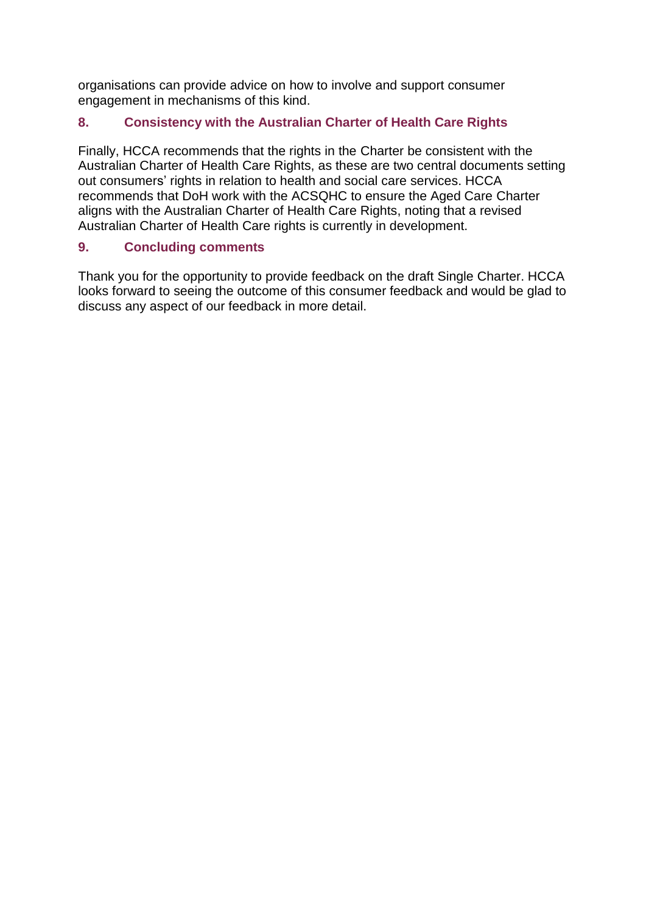organisations can provide advice on how to involve and support consumer engagement in mechanisms of this kind.

#### **8. Consistency with the Australian Charter of Health Care Rights**

Finally, HCCA recommends that the rights in the Charter be consistent with the Australian Charter of Health Care Rights, as these are two central documents setting out consumers' rights in relation to health and social care services. HCCA recommends that DoH work with the ACSQHC to ensure the Aged Care Charter aligns with the Australian Charter of Health Care Rights, noting that a revised Australian Charter of Health Care rights is currently in development.

#### **9. Concluding comments**

Thank you for the opportunity to provide feedback on the draft Single Charter. HCCA looks forward to seeing the outcome of this consumer feedback and would be glad to discuss any aspect of our feedback in more detail.